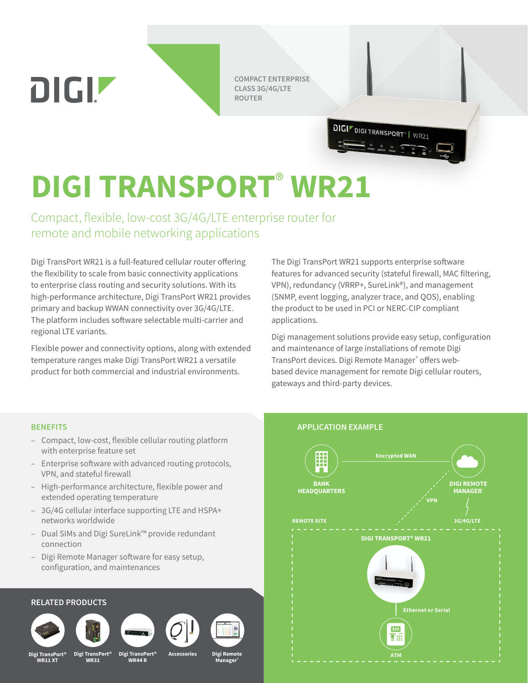**COMPACT ENTERPRISE CLASS 3G/4G/LTE ROUTER**

**DIGI**<sup>*F*</sup> DIGI TRANSPORT<sup>®</sup> | WR21

# **DIGI TRANSPORT**®  **WR21**

Compact, flexible, low-cost 3G/4G/LTE enterprise router for remote and mobile networking applications

Digi TransPort WR21 is a full-featured cellular router offering the flexibility to scale from basic connectivity applications to enterprise class routing and security solutions. With its high-performance architecture, Digi TransPort WR21 provides primary and backup WWAN connectivity over 3G/4G/LTE. The platform includes software selectable multi-carrier and regional LTE variants.

Flexible power and connectivity options, along with extended temperature ranges make Digi TransPort WR21 a versatile product for both commercial and industrial environments.

The Digi TransPort WR21 supports enterprise software features for advanced security (stateful firewall, MAC filtering, VPN), redundancy (VRRP+, SureLink®), and management (SNMP, event logging, analyzer trace, and QOS), enabling the product to be used in PCI or NERC-CIP compliant applications.

Digi management solutions provide easy setup, configuration and maintenance of large installations of remote Digi TransPort devices. Digi Remote Manager® offers webbased device management for remote Digi cellular routers, gateways and third-party devices.

**DIGIZ** 

- Compact, low-cost, flexible cellular routing platform with enterprise feature set
- Enterprise software with advanced routing protocols, VPN, and stateful firewall
- High-performance architecture, flexible power and extended operating temperature
- 3G/4G cellular interface supporting LTE and HSPA+ networks worldwide
- Dual SIMs and Digi SureLink™ provide redundant connection
- Digi Remote Manager software for easy setup, configuration, and maintenances

### **RELATED PRODUCTS**











 $\mathsf{sPort}^\otimes$ **WR11 XT**

**Digi TransPort® WR31**

**Digi TransPort® WR44 R**

**Accessories Digi Remote Manager®**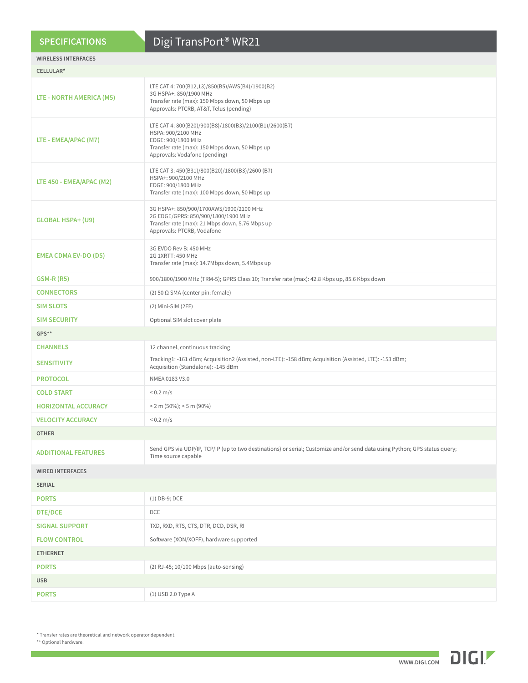# **SPECIFICATIONS**

# Digi TransPort® WR21

| <b>WIRELESS INTERFACES</b>  |                                                                                                                                                                                       |
|-----------------------------|---------------------------------------------------------------------------------------------------------------------------------------------------------------------------------------|
| CELLULAR*                   |                                                                                                                                                                                       |
| LTE - NORTH AMERICA (M5)    | LTE CAT 4: 700(B12,13)/850(B5)/AWS(B4)/1900(B2)<br>3G HSPA+: 850/1900 MHz<br>Transfer rate (max): 150 Mbps down, 50 Mbps up<br>Approvals: PTCRB, AT&T, Telus (pending)                |
| LTE - EMEA/APAC (M7)        | LTE CAT 4: 800(B20)/900(B8)/1800(B3)/2100(B1)/2600(B7)<br>HSPA: 900/2100 MHz<br>EDGE: 900/1800 MHz<br>Transfer rate (max): 150 Mbps down, 50 Mbps up<br>Approvals: Vodafone (pending) |
| LTE 450 - EMEA/APAC (M2)    | LTE CAT 3: 450(B31)/800(B20)/1800(B3)/2600 (B7)<br>HSPA+: 900/2100 MHz<br>EDGE: 900/1800 MHz<br>Transfer rate (max): 100 Mbps down, 50 Mbps up                                        |
| <b>GLOBAL HSPA+ (U9)</b>    | 3G HSPA+: 850/900/1700AWS/1900/2100 MHz<br>2G EDGE/GPRS: 850/900/1800/1900 MHz<br>Transfer rate (max): 21 Mbps down, 5.76 Mbps up<br>Approvals: PTCRB, Vodafone                       |
| <b>EMEA CDMA EV-DO (D5)</b> | 3G EVDO Rev B: 450 MHz<br>2G 1XRTT: 450 MHz<br>Transfer rate (max): 14.7Mbps down, 5.4Mbps up                                                                                         |
| <b>GSM-R (R5)</b>           | 900/1800/1900 MHz (TRM-5); GPRS Class 10; Transfer rate (max): 42.8 Kbps up, 85.6 Kbps down                                                                                           |
| <b>CONNECTORS</b>           | (2) 50 $\Omega$ SMA (center pin: female)                                                                                                                                              |
| <b>SIM SLOTS</b>            | (2) Mini-SIM (2FF)                                                                                                                                                                    |
| <b>SIM SECURITY</b>         | Optional SIM slot cover plate                                                                                                                                                         |
| GPS**                       |                                                                                                                                                                                       |
| <b>CHANNELS</b>             | 12 channel, continuous tracking                                                                                                                                                       |
| <b>SENSITIVITY</b>          | Tracking1: -161 dBm; Acquisition2 (Assisted, non-LTE): -158 dBm; Acquisition (Assisted, LTE): -153 dBm;<br>Acquisition (Standalone): -145 dBm                                         |
| <b>PROTOCOL</b>             | NMEA 0183 V3.0                                                                                                                                                                        |
| <b>COLD START</b>           | $< 0.2 \, \text{m/s}$                                                                                                                                                                 |
| <b>HORIZONTAL ACCURACY</b>  | $<$ 2 m (50%); $<$ 5 m (90%)                                                                                                                                                          |
| <b>VELOCITY ACCURACY</b>    | $< 0.2 \, \text{m/s}$                                                                                                                                                                 |
| <b>OTHER</b>                |                                                                                                                                                                                       |
| <b>ADDITIONAL FEATURES</b>  | Send GPS via UDP/IP, TCP/IP (up to two destinations) or serial; Customize and/or send data using Python; GPS status query;<br>Time source capable                                     |
| <b>WIRED INTERFACES</b>     |                                                                                                                                                                                       |
| <b>SERIAL</b>               |                                                                                                                                                                                       |
| <b>PORTS</b>                | $(1)$ DB-9; DCE                                                                                                                                                                       |
| <b>DTE/DCE</b>              | DCE                                                                                                                                                                                   |
| <b>SIGNAL SUPPORT</b>       | TXD, RXD, RTS, CTS, DTR, DCD, DSR, RI                                                                                                                                                 |
| <b>FLOW CONTROL</b>         | Software (XON/XOFF), hardware supported                                                                                                                                               |
| <b>ETHERNET</b>             |                                                                                                                                                                                       |
| <b>PORTS</b>                | (2) RJ-45; 10/100 Mbps (auto-sensing)                                                                                                                                                 |
| <b>USB</b>                  |                                                                                                                                                                                       |
| <b>PORTS</b>                | (1) USB 2.0 Type A                                                                                                                                                                    |

\* Transfer rates are theoretical and network operator dependent.

\*\* Optional hardware.

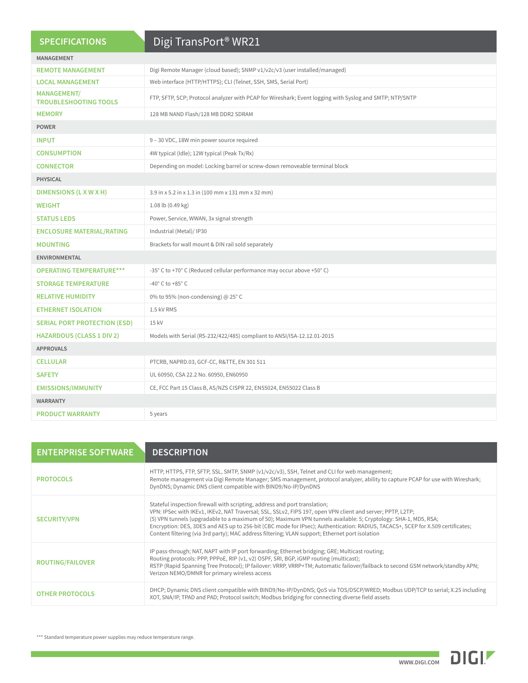| <b>SPECIFICATIONS</b>                              | Digi TransPort <sup>®</sup> WR21                                                                        |
|----------------------------------------------------|---------------------------------------------------------------------------------------------------------|
| <b>MANAGEMENT</b>                                  |                                                                                                         |
| <b>REMOTE MANAGEMENT</b>                           | Digi Remote Manager (cloud based); SNMP v1/v2c/v3 (user installed/managed)                              |
| <b>LOCAL MANAGEMENT</b>                            | Web interface (HTTP/HTTPS); CLI (Telnet, SSH, SMS, Serial Port)                                         |
| <b>MANAGEMENT/</b><br><b>TROUBLESHOOTING TOOLS</b> | FTP, SFTP, SCP; Protocol analyzer with PCAP for Wireshark; Event logging with Syslog and SMTP; NTP/SNTP |
| <b>MEMORY</b>                                      | 128 MB NAND Flash/128 MB DDR2 SDRAM                                                                     |
| <b>POWER</b>                                       |                                                                                                         |
| <b>INPUT</b>                                       | 9 - 30 VDC, 18W min power source required                                                               |
| <b>CONSUMPTION</b>                                 | 4W typical (Idle); 12W typical (Peak Tx/Rx)                                                             |
| <b>CONNECTOR</b>                                   | Depending on model: Locking barrel or screw-down removeable terminal block                              |
| <b>PHYSICAL</b>                                    |                                                                                                         |
| <b>DIMENSIONS (LXWXH)</b>                          | 3.9 in x 5.2 in x 1.3 in (100 mm x 131 mm x 32 mm)                                                      |
| <b>WEIGHT</b>                                      | 1.08 lb (0.49 kg)                                                                                       |
| <b>STATUS LEDS</b>                                 | Power, Service, WWAN, 3x signal strength                                                                |
| <b>ENCLOSURE MATERIAL/RATING</b>                   | Industrial (Metal)/ IP30                                                                                |
| <b>MOUNTING</b>                                    | Brackets for wall mount & DIN rail sold separately                                                      |
| <b>ENVIRONMENTAL</b>                               |                                                                                                         |
| <b>OPERATING TEMPERATURE***</b>                    | -35° C to +70° C (Reduced cellular performance may occur above +50° C)                                  |
| <b>STORAGE TEMPERATURE</b>                         | -40 $^{\circ}$ C to +85 $^{\circ}$ C                                                                    |
| <b>RELATIVE HUMIDITY</b>                           | 0% to 95% (non-condensing) @ 25°C                                                                       |
| <b>ETHERNET ISOLATION</b>                          | 1.5 kV RMS                                                                                              |
| <b>SERIAL PORT PROTECTION (ESD)</b>                | 15 kV                                                                                                   |
| <b>HAZARDOUS (CLASS 1 DIV 2)</b>                   | Models with Serial (RS-232/422/485) compliant to ANSI/ISA-12.12.01-2015                                 |
| <b>APPROVALS</b>                                   |                                                                                                         |
| <b>CELLULAR</b>                                    | PTCRB, NAPRD.03, GCF-CC, R&TTE, EN 301 511                                                              |
| <b>SAFETY</b>                                      | UL 60950, CSA 22.2 No. 60950, EN60950                                                                   |
| <b>EMISSIONS/IMMUNITY</b>                          | CE, FCC Part 15 Class B, AS/NZS CISPR 22, EN55024, EN55022 Class B                                      |
| <b>WARRANTY</b>                                    |                                                                                                         |
| <b>PRODUCT WARRANTY</b>                            | 5 years                                                                                                 |

| <b>ENTERPRISE SOFTWARE</b> | <b>DESCRIPTION</b>                                                                                                                                                                                                                                                                                                                                                                                                                                                                                                                                |
|----------------------------|---------------------------------------------------------------------------------------------------------------------------------------------------------------------------------------------------------------------------------------------------------------------------------------------------------------------------------------------------------------------------------------------------------------------------------------------------------------------------------------------------------------------------------------------------|
| <b>PROTOCOLS</b>           | HTTP, HTTPS, FTP, SFTP, SSL, SMTP, SNMP (v1/v2c/v3), SSH, Telnet and CLI for web management;<br>Remote management via Digi Remote Manager; SMS management, protocol analyzer, ability to capture PCAP for use with Wireshark;<br>DynDNS; Dynamic DNS client compatible with BIND9/No-IP/DynDNS                                                                                                                                                                                                                                                    |
| <b>SECURITY/VPN</b>        | Stateful inspection firewall with scripting, address and port translation;<br>VPN: IPSec with IKEv1, IKEv2, NAT Traversal; SSL, SSLv2, FIPS 197, open VPN client and server; PPTP, L2TP;<br>(5) VPN tunnels (upgradable to a maximum of 50); Maximum VPN tunnels available: 5; Cryptology: SHA-1, MD5, RSA;<br>Encryption: DES, 3DES and AES up to 256-bit (CBC mode for IPsec); Authentication: RADIUS, TACACS+, SCEP for X.509 certificates;<br>Content filtering (via 3rd party); MAC address filtering; VLAN support; Ethernet port isolation |
| <b>ROUTING/FAILOVER</b>    | IP pass-through; NAT, NAPT with IP port forwarding; Ethernet bridging; GRE; Multicast routing;<br>Routing protocols: PPP, PPPoE, RIP (v1, v2) OSPF, SRI, BGP, iGMP routing (multicast);<br>RSTP (Rapid Spanning Tree Protocol); IP failover: VRRP, VRRP+TM; Automatic failover/failback to second GSM network/standby APN;<br>Verizon NEMO/DMNR for primary wireless access                                                                                                                                                                       |
| <b>OTHER PROTOCOLS</b>     | DHCP; Dynamic DNS client compatible with BIND9/No-IP/DynDNS; QoS via TOS/DSCP/WRED; Modbus UDP/TCP to serial; X.25 including<br>XOT, SNA/IP, TPAD and PAD; Protocol switch; Modbus bridging for connecting diverse field assets                                                                                                                                                                                                                                                                                                                   |

\*\*\* Standard temperature power supplies may reduce temperature range.